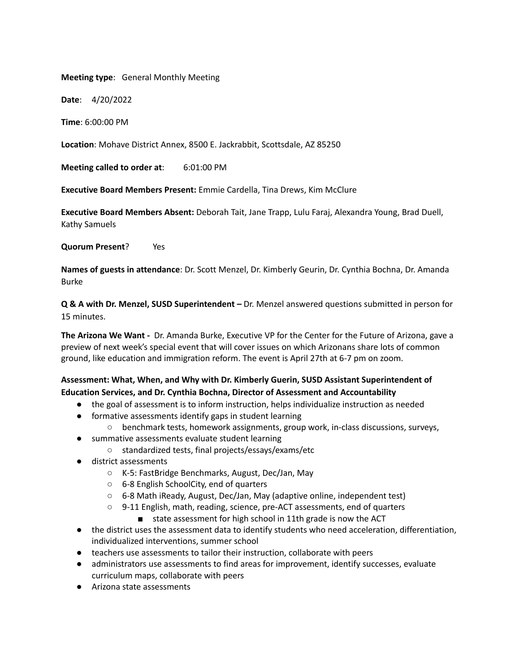**Meeting type**: General Monthly Meeting

**Date**: 4/20/2022

**Time**: 6:00:00 PM

**Location**: Mohave District Annex, 8500 E. Jackrabbit, Scottsdale, AZ 85250

**Meeting called to order at**: 6:01:00 PM

**Executive Board Members Present:** Emmie Cardella, Tina Drews, Kim McClure

**Executive Board Members Absent:** Deborah Tait, Jane Trapp, Lulu Faraj, Alexandra Young, Brad Duell, Kathy Samuels

**Quorum Present**? Yes

**Names of guests in attendance**: Dr. Scott Menzel, Dr. Kimberly Geurin, Dr. Cynthia Bochna, Dr. Amanda Burke

**Q & A with Dr. Menzel, SUSD Superintendent –** Dr. Menzel answered questions submitted in person for 15 minutes.

**The Arizona We Want -** Dr. Amanda Burke, Executive VP for the Center for the Future of Arizona, gave a preview of next week's special event that will cover issues on which Arizonans share lots of common ground, like education and immigration reform. The event is April 27th at 6-7 pm on zoom.

## **Assessment: What, When, and Why with Dr. Kimberly Guerin, SUSD Assistant Superintendent of Education Services, and Dr. Cynthia Bochna, Director of Assessment and Accountability**

- the goal of assessment is to inform instruction, helps individualize instruction as needed
- formative assessments identify gaps in student learning
	- benchmark tests, homework assignments, group work, in-class discussions, surveys,
- summative assessments evaluate student learning
	- standardized tests, final projects/essays/exams/etc
- district assessments
	- K-5: FastBridge Benchmarks, August, Dec/Jan, May
	- 6-8 English SchoolCity, end of quarters
	- 6-8 Math iReady, August, Dec/Jan, May (adaptive online, independent test)
	- 9-11 English, math, reading, science, pre-ACT assessments, end of quarters
		- state assessment for high school in 11th grade is now the ACT
- the district uses the assessment data to identify students who need acceleration, differentiation, individualized interventions, summer school
- teachers use assessments to tailor their instruction, collaborate with peers
- administrators use assessments to find areas for improvement, identify successes, evaluate curriculum maps, collaborate with peers
- Arizona state assessments